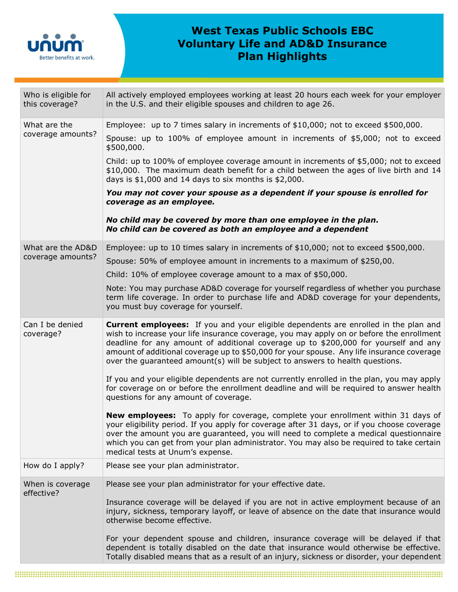

## **West Texas Public Schools EBC Voluntary Life and AD&D Insurance Plan Highlights**

| Who is eligible for<br>this coverage?  | All actively employed employees working at least 20 hours each week for your employer<br>in the U.S. and their eligible spouses and children to age 26.                                                                                                                                                                                                                                                                                                     |  |  |
|----------------------------------------|-------------------------------------------------------------------------------------------------------------------------------------------------------------------------------------------------------------------------------------------------------------------------------------------------------------------------------------------------------------------------------------------------------------------------------------------------------------|--|--|
| What are the<br>coverage amounts?      | Employee: up to 7 times salary in increments of \$10,000; not to exceed \$500,000.                                                                                                                                                                                                                                                                                                                                                                          |  |  |
|                                        | Spouse: up to $100\%$ of employee amount in increments of \$5,000; not to exceed<br>\$500,000.                                                                                                                                                                                                                                                                                                                                                              |  |  |
|                                        | Child: up to 100% of employee coverage amount in increments of \$5,000; not to exceed<br>\$10,000. The maximum death benefit for a child between the ages of live birth and 14<br>days is $$1,000$ and 14 days to six months is $$2,000$ .                                                                                                                                                                                                                  |  |  |
|                                        | You may not cover your spouse as a dependent if your spouse is enrolled for<br>coverage as an employee.                                                                                                                                                                                                                                                                                                                                                     |  |  |
|                                        | No child may be covered by more than one employee in the plan.<br>No child can be covered as both an employee and a dependent                                                                                                                                                                                                                                                                                                                               |  |  |
| What are the AD&D<br>coverage amounts? | Employee: up to 10 times salary in increments of \$10,000; not to exceed \$500,000.                                                                                                                                                                                                                                                                                                                                                                         |  |  |
|                                        | Spouse: 50% of employee amount in increments to a maximum of \$250,00.                                                                                                                                                                                                                                                                                                                                                                                      |  |  |
|                                        | Child: 10% of employee coverage amount to a max of \$50,000.                                                                                                                                                                                                                                                                                                                                                                                                |  |  |
|                                        | Note: You may purchase AD&D coverage for yourself regardless of whether you purchase<br>term life coverage. In order to purchase life and AD&D coverage for your dependents,<br>you must buy coverage for yourself.                                                                                                                                                                                                                                         |  |  |
| Can I be denied<br>coverage?           | <b>Current employees:</b> If you and your eligible dependents are enrolled in the plan and<br>wish to increase your life insurance coverage, you may apply on or before the enrollment<br>deadline for any amount of additional coverage up to \$200,000 for yourself and any<br>amount of additional coverage up to \$50,000 for your spouse. Any life insurance coverage<br>over the guaranteed amount(s) will be subject to answers to health questions. |  |  |
|                                        | If you and your eligible dependents are not currently enrolled in the plan, you may apply<br>for coverage on or before the enrollment deadline and will be required to answer health<br>questions for any amount of coverage.                                                                                                                                                                                                                               |  |  |
|                                        | <b>New employees:</b> To apply for coverage, complete your enrollment within 31 days of<br>your eligibility period. If you apply for coverage after 31 days, or if you choose coverage<br>over the amount you are guaranteed, you will need to complete a medical questionnaire<br>which you can get from your plan administrator. You may also be required to take certain<br>medical tests at Unum's expense.                                             |  |  |
| How do I apply?                        | Please see your plan administrator.                                                                                                                                                                                                                                                                                                                                                                                                                         |  |  |
| When is coverage<br>effective?         | Please see your plan administrator for your effective date.                                                                                                                                                                                                                                                                                                                                                                                                 |  |  |
|                                        | Insurance coverage will be delayed if you are not in active employment because of an<br>injury, sickness, temporary layoff, or leave of absence on the date that insurance would<br>otherwise become effective.                                                                                                                                                                                                                                             |  |  |
|                                        | For your dependent spouse and children, insurance coverage will be delayed if that<br>dependent is totally disabled on the date that insurance would otherwise be effective.<br>Totally disabled means that as a result of an injury, sickness or disorder, your dependent                                                                                                                                                                                  |  |  |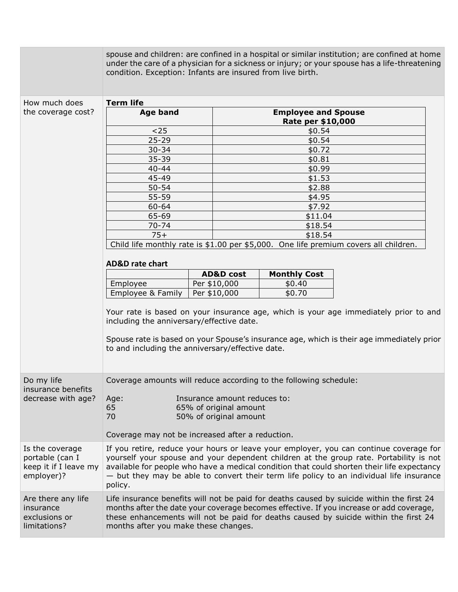|                                                                           | condition. Exception: Infants are insured from live birth.                                                                                                                                                                                                                                                                                                                            |                                                                                      |                                                 | spouse and children: are confined in a hospital or similar institution; are confined at home<br>under the care of a physician for a sickness or injury; or your spouse has a life-threatening |  |  |
|---------------------------------------------------------------------------|---------------------------------------------------------------------------------------------------------------------------------------------------------------------------------------------------------------------------------------------------------------------------------------------------------------------------------------------------------------------------------------|--------------------------------------------------------------------------------------|-------------------------------------------------|-----------------------------------------------------------------------------------------------------------------------------------------------------------------------------------------------|--|--|
|                                                                           | <b>Term life</b>                                                                                                                                                                                                                                                                                                                                                                      |                                                                                      |                                                 |                                                                                                                                                                                               |  |  |
| How much does<br>the coverage cost?                                       | <b>Age band</b>                                                                                                                                                                                                                                                                                                                                                                       |                                                                                      | <b>Employee and Spouse</b><br>Rate per \$10,000 |                                                                                                                                                                                               |  |  |
|                                                                           | $25$                                                                                                                                                                                                                                                                                                                                                                                  |                                                                                      | \$0.54                                          |                                                                                                                                                                                               |  |  |
|                                                                           | $25 - 29$                                                                                                                                                                                                                                                                                                                                                                             |                                                                                      | \$0.54                                          |                                                                                                                                                                                               |  |  |
|                                                                           | $30 - 34$                                                                                                                                                                                                                                                                                                                                                                             |                                                                                      | \$0.72                                          |                                                                                                                                                                                               |  |  |
|                                                                           | $35 - 39$                                                                                                                                                                                                                                                                                                                                                                             |                                                                                      | \$0.81                                          |                                                                                                                                                                                               |  |  |
|                                                                           | $40 - 44$                                                                                                                                                                                                                                                                                                                                                                             |                                                                                      | \$0.99                                          |                                                                                                                                                                                               |  |  |
|                                                                           | 45-49                                                                                                                                                                                                                                                                                                                                                                                 |                                                                                      | \$1.53                                          |                                                                                                                                                                                               |  |  |
|                                                                           | $50 - 54$                                                                                                                                                                                                                                                                                                                                                                             |                                                                                      | \$2.88                                          |                                                                                                                                                                                               |  |  |
|                                                                           | $55 - 59$                                                                                                                                                                                                                                                                                                                                                                             |                                                                                      | \$4.95                                          |                                                                                                                                                                                               |  |  |
|                                                                           | $60 - 64$                                                                                                                                                                                                                                                                                                                                                                             |                                                                                      | \$7.92                                          |                                                                                                                                                                                               |  |  |
|                                                                           | 65-69                                                                                                                                                                                                                                                                                                                                                                                 |                                                                                      | \$11.04                                         |                                                                                                                                                                                               |  |  |
|                                                                           | $70 - 74$                                                                                                                                                                                                                                                                                                                                                                             |                                                                                      | \$18.54                                         |                                                                                                                                                                                               |  |  |
|                                                                           | $75+$                                                                                                                                                                                                                                                                                                                                                                                 |                                                                                      | \$18.54                                         |                                                                                                                                                                                               |  |  |
|                                                                           |                                                                                                                                                                                                                                                                                                                                                                                       | Child life monthly rate is \$1.00 per \$5,000. One life premium covers all children. |                                                 |                                                                                                                                                                                               |  |  |
|                                                                           | <b>AD&amp;D</b> rate chart                                                                                                                                                                                                                                                                                                                                                            |                                                                                      |                                                 |                                                                                                                                                                                               |  |  |
|                                                                           |                                                                                                                                                                                                                                                                                                                                                                                       | <b>AD&amp;D</b> cost                                                                 | <b>Monthly Cost</b>                             |                                                                                                                                                                                               |  |  |
|                                                                           | Employee                                                                                                                                                                                                                                                                                                                                                                              | Per \$10,000                                                                         | \$0.40                                          |                                                                                                                                                                                               |  |  |
|                                                                           | Employee & Family                                                                                                                                                                                                                                                                                                                                                                     | Per \$10,000                                                                         | \$0.70                                          |                                                                                                                                                                                               |  |  |
|                                                                           | Your rate is based on your insurance age, which is your age immediately prior to and<br>including the anniversary/effective date.<br>Spouse rate is based on your Spouse's insurance age, which is their age immediately prior<br>to and including the anniversary/effective date.                                                                                                    |                                                                                      |                                                 |                                                                                                                                                                                               |  |  |
| Do my life<br>insurance benefits<br>decrease with age?                    | Coverage amounts will reduce according to the following schedule:<br>Insurance amount reduces to:<br>Age:<br>65<br>65% of original amount<br>70<br>50% of original amount<br>Coverage may not be increased after a reduction.                                                                                                                                                         |                                                                                      |                                                 |                                                                                                                                                                                               |  |  |
|                                                                           |                                                                                                                                                                                                                                                                                                                                                                                       |                                                                                      |                                                 |                                                                                                                                                                                               |  |  |
| Is the coverage<br>portable (can I<br>keep it if I leave my<br>employer)? | If you retire, reduce your hours or leave your employer, you can continue coverage for<br>yourself your spouse and your dependent children at the group rate. Portability is not<br>available for people who have a medical condition that could shorten their life expectancy<br>- but they may be able to convert their term life policy to an individual life insurance<br>policy. |                                                                                      |                                                 |                                                                                                                                                                                               |  |  |
| Are there any life<br>insurance<br>exclusions or<br>limitations?          | Life insurance benefits will not be paid for deaths caused by suicide within the first 24<br>months after the date your coverage becomes effective. If you increase or add coverage,<br>these enhancements will not be paid for deaths caused by suicide within the first 24<br>months after you make these changes.                                                                  |                                                                                      |                                                 |                                                                                                                                                                                               |  |  |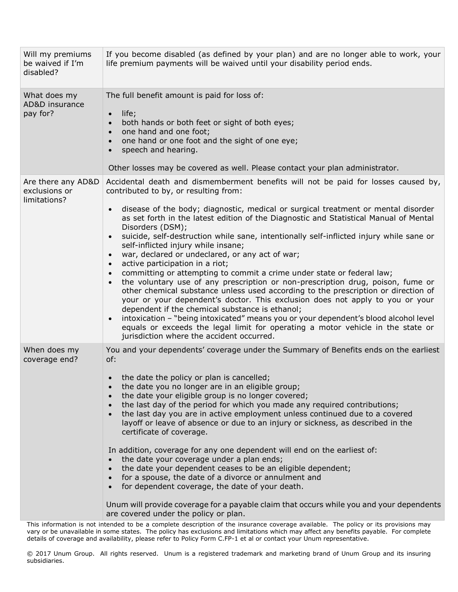| Will my premiums<br>be waived if I'm<br>disabled?   | If you become disabled (as defined by your plan) and are no longer able to work, your<br>life premium payments will be waived until your disability period ends.                                                                                                                                                                                                                                                                                                                                                                                                                                                                                                                                                                                                                                                                                                                                                                                                                                                                                                                                                                                                                                                                                                |
|-----------------------------------------------------|-----------------------------------------------------------------------------------------------------------------------------------------------------------------------------------------------------------------------------------------------------------------------------------------------------------------------------------------------------------------------------------------------------------------------------------------------------------------------------------------------------------------------------------------------------------------------------------------------------------------------------------------------------------------------------------------------------------------------------------------------------------------------------------------------------------------------------------------------------------------------------------------------------------------------------------------------------------------------------------------------------------------------------------------------------------------------------------------------------------------------------------------------------------------------------------------------------------------------------------------------------------------|
| What does my<br>AD&D insurance<br>pay for?          | The full benefit amount is paid for loss of:<br>life;<br>$\bullet$<br>both hands or both feet or sight of both eyes;<br>one hand and one foot;<br>one hand or one foot and the sight of one eye;<br>speech and hearing.<br>Other losses may be covered as well. Please contact your plan administrator.                                                                                                                                                                                                                                                                                                                                                                                                                                                                                                                                                                                                                                                                                                                                                                                                                                                                                                                                                         |
| Are there any AD&D<br>exclusions or<br>limitations? | Accidental death and dismemberment benefits will not be paid for losses caused by,<br>contributed to by, or resulting from:<br>disease of the body; diagnostic, medical or surgical treatment or mental disorder<br>$\bullet$<br>as set forth in the latest edition of the Diagnostic and Statistical Manual of Mental<br>Disorders (DSM);<br>suicide, self-destruction while sane, intentionally self-inflicted injury while sane or<br>$\bullet$<br>self-inflicted injury while insane;<br>war, declared or undeclared, or any act of war;<br>$\bullet$<br>active participation in a riot;<br>$\bullet$<br>committing or attempting to commit a crime under state or federal law;<br>$\bullet$<br>the voluntary use of any prescription or non-prescription drug, poison, fume or<br>$\bullet$<br>other chemical substance unless used according to the prescription or direction of<br>your or your dependent's doctor. This exclusion does not apply to you or your<br>dependent if the chemical substance is ethanol;<br>intoxication - "being intoxicated" means you or your dependent's blood alcohol level<br>$\bullet$<br>equals or exceeds the legal limit for operating a motor vehicle in the state or<br>jurisdiction where the accident occurred. |
| When does my<br>coverage end?                       | You and your dependents' coverage under the Summary of Benefits ends on the earliest<br>of:<br>the date the policy or plan is cancelled;<br>the date you no longer are in an eligible group;<br>the date your eligible group is no longer covered;<br>the last day of the period for which you made any required contributions;<br>the last day you are in active employment unless continued due to a covered<br>layoff or leave of absence or due to an injury or sickness, as described in the<br>certificate of coverage.<br>In addition, coverage for any one dependent will end on the earliest of:<br>the date your coverage under a plan ends;<br>the date your dependent ceases to be an eligible dependent;<br>for a spouse, the date of a divorce or annulment and<br>for dependent coverage, the date of your death.<br>Unum will provide coverage for a payable claim that occurs while you and your dependents<br>are covered under the policy or plan.                                                                                                                                                                                                                                                                                           |

This information is not intended to be a complete description of the insurance coverage available. The policy or its provisions may vary or be unavailable in some states. The policy has exclusions and limitations which may affect any benefits payable. For complete details of coverage and availability, please refer to Policy Form C.FP-1 et al or contact your Unum representative.

© 2017 Unum Group. All rights reserved. Unum is a registered trademark and marketing brand of Unum Group and its insuring subsidiaries.